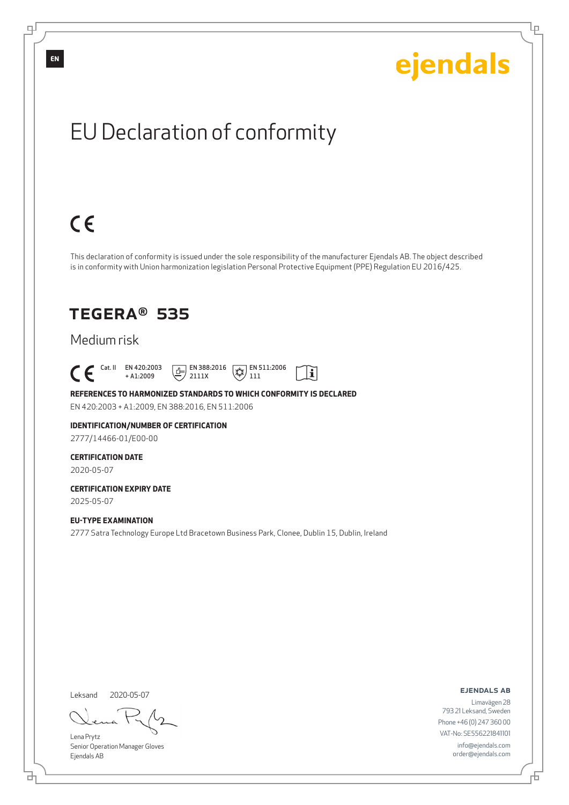Ļμ

# EU Declaration of conformity

# $C \in$

This declaration of conformity is issued under the sole responsibility of the manufacturer Ejendals AB. The object described is in conformity with Union harmonization legislation Personal Protective Equipment (PPE) Regulation EU 2016/425.

 $\mathbf{i}$ 

### TEGERA® 535

### Medium risk

 $\begin{bmatrix} \mathsf{Cat} & \mathsf{II} & \mathsf{EN} & 420:2003 \\ + & 41:2009 \end{bmatrix}$ + A1:2009  $E$  EN 388:2016 2111X  $\mathbb{R}$  EN 511:2006 111

**REFERENCES TO HARMONIZED STANDARDS TO WHICH CONFORMITY IS DECLARED** EN 420:2003 + A1:2009, EN 388:2016, EN 511:2006

**IDENTIFICATION/NUMBER OF CERTIFICATION**

2777/14466-01/E00-00

### **CERTIFICATION DATE**

2020-05-07

#### **CERTIFICATION EXPIRY DATE** 2025-05-07

**EU-TYPE EXAMINATION** 2777 Satra Technology Europe Ltd Bracetown Business Park, Clonee, Dublin 15, Dublin, Ireland

Leksand 2020-05-07

<u>다</u>

Lena Prytz Senior Operation Manager Gloves Ejendals AB

ejendals ab

Đ

Limavägen 28 793 21 Leksand, Sweden Phone +46 (0) 247 360 00 VAT-No: SE556221841101 info@ejendals.com order@ejendals.com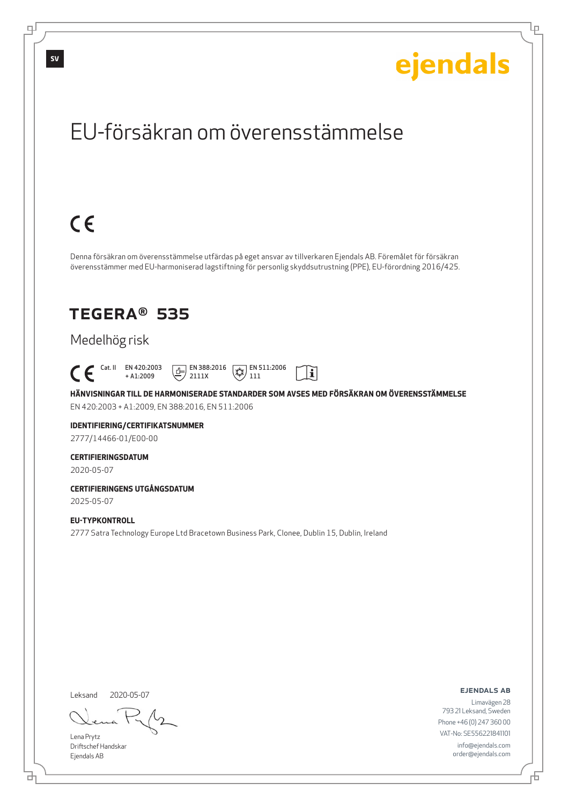Ļμ

## EU-försäkran om överensstämmelse

# $C \in$

Denna försäkran om överensstämmelse utfärdas på eget ansvar av tillverkaren Ejendals AB. Föremålet för försäkran överensstämmer med EU-harmoniserad lagstiftning för personlig skyddsutrustning (PPE), EU-förordning 2016/425.

### TEGERA® 535

### Medelhög risk

 Cat. II EN 420:2003 + A1:2009  $\boxed{1}$  EN 388:2016 2111X  $\mathbb{R}$  EN 511:2006 111

**HÄNVISNINGAR TILL DE HARMONISERADE STANDARDER SOM AVSES MED FÖRSÄKRAN OM ÖVERENSSTÄMMELSE** EN 420:2003 + A1:2009, EN 388:2016, EN 511:2006

 $|\tilde{\mathbf{i}}|$ 

### **IDENTIFIERING/CERTIFIKATSNUMMER**

2777/14466-01/E00-00

#### **CERTIFIERINGSDATUM**

2020-05-07

#### **CERTIFIERINGENS UTGÅNGSDATUM** 2025-05-07

#### **EU-TYPKONTROLL**

2777 Satra Technology Europe Ltd Bracetown Business Park, Clonee, Dublin 15, Dublin, Ireland

Leksand 2020-05-07

Lena Prytz Driftschef Handskar Ejendals AB

<u>다</u>

ejendals ab

Đ

Limavägen 28 793 21 Leksand, Sweden Phone +46 (0) 247 360 00 VAT-No: SE556221841101 info@ejendals.com order@ejendals.com

டி

**SV**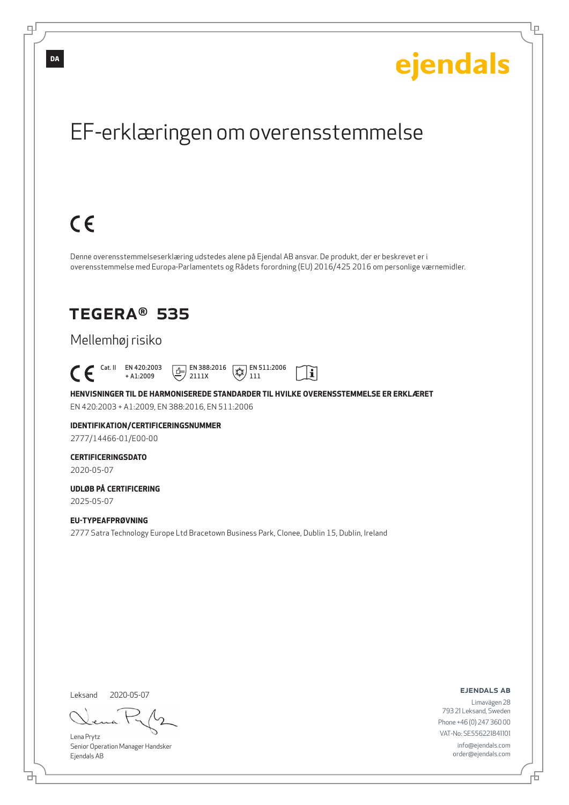Ļμ

## EF-erklæringen om overensstemmelse

# $C \in$

Denne overensstemmelseserklæring udstedes alene på Ejendal AB ansvar. De produkt, der er beskrevet er i overensstemmelse med Europa-Parlamentets og Rådets forordning (EU) 2016/425 2016 om personlige værnemidler.

### TEGERA® 535

### Mellemhøj risiko

 Cat. II EN 420:2003 + A1:2009  $E$  EN 388:2016 2111X  $\mathbb{R}$  EN 511:2006 111

**HENVISNINGER TIL DE HARMONISEREDE STANDARDER TIL HVILKE OVERENSSTEMMELSE ER ERKLÆRET** EN 420:2003 + A1:2009, EN 388:2016, EN 511:2006

 $|\tilde{\mathbf{i}}|$ 

### **IDENTIFIKATION/CERTIFICERINGSNUMMER**

2777/14466-01/E00-00

### **CERTIFICERINGSDATO**

2020-05-07

#### **UDLØB PÅ CERTIFICERING** 2025-05-07

**EU-TYPEAFPRØVNING** 2777 Satra Technology Europe Ltd Bracetown Business Park, Clonee, Dublin 15, Dublin, Ireland

Leksand 2020-05-07

브

Lena Prytz Senior Operation Manager Handsker Ejendals AB

ejendals ab

Đ

Limavägen 28 793 21 Leksand, Sweden Phone +46 (0) 247 360 00 VAT-No: SE556221841101 info@ejendals.com order@ejendals.com

டி

**DA**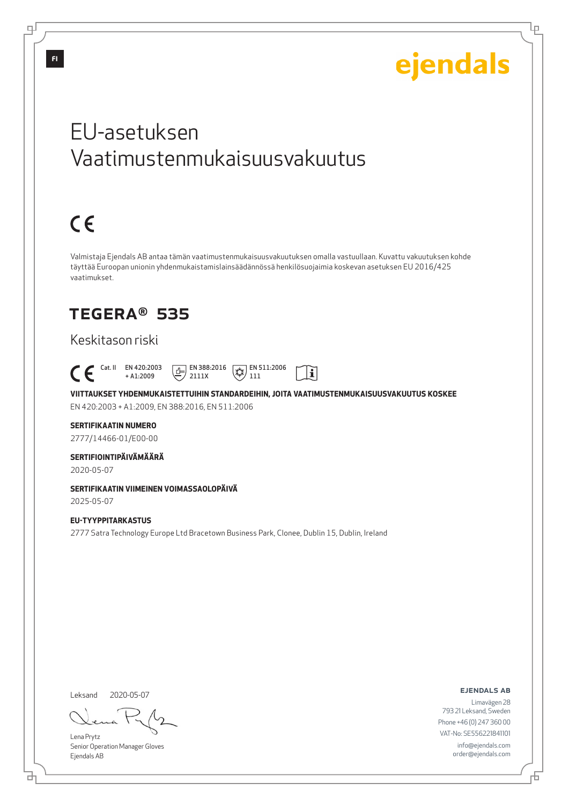Lμ

## EU-asetuksen Vaatimustenmukaisuusvakuutus

# $C \in$

Valmistaja Ejendals AB antaa tämän vaatimustenmukaisuusvakuutuksen omalla vastuullaan. Kuvattu vakuutuksen kohde täyttää Euroopan unionin yhdenmukaistamislainsäädännössä henkilösuojaimia koskevan asetuksen EU 2016/425 vaatimukset.

## TEGERA® 535

### Keskitason riski

 Cat. II EN 420:2003  $\boxed{\underline{f}}$  EN 388:2016  $\mathbb{R}$  EN 511:2006  $|\tilde{\mathbf{i}}|$ + A1:2009 2111X 111

**VIITTAUKSET YHDENMUKAISTETTUIHIN STANDARDEIHIN, JOITA VAATIMUSTENMUKAISUUSVAKUUTUS KOSKEE** EN 420:2003 + A1:2009, EN 388:2016, EN 511:2006

### **SERTIFIKAATIN NUMERO**

2777/14466-01/E00-00

### **SERTIFIOINTIPÄIVÄMÄÄRÄ**

2020-05-07

### **SERTIFIKAATIN VIIMEINEN VOIMASSAOLOPÄIVÄ**

2025-05-07

#### **EU-TYYPPITARKASTUS** 2777 Satra Technology Europe Ltd Bracetown Business Park, Clonee, Dublin 15, Dublin, Ireland

Leksand 2020-05-07

Lena Prytz Senior Operation Manager Gloves Ejendals AB

ejendals ab

Б

Limavägen 28 793 21 Leksand, Sweden Phone +46 (0) 247 360 00 VAT-No: SE556221841101 info@ejendals.com order@ejendals.com

டி

브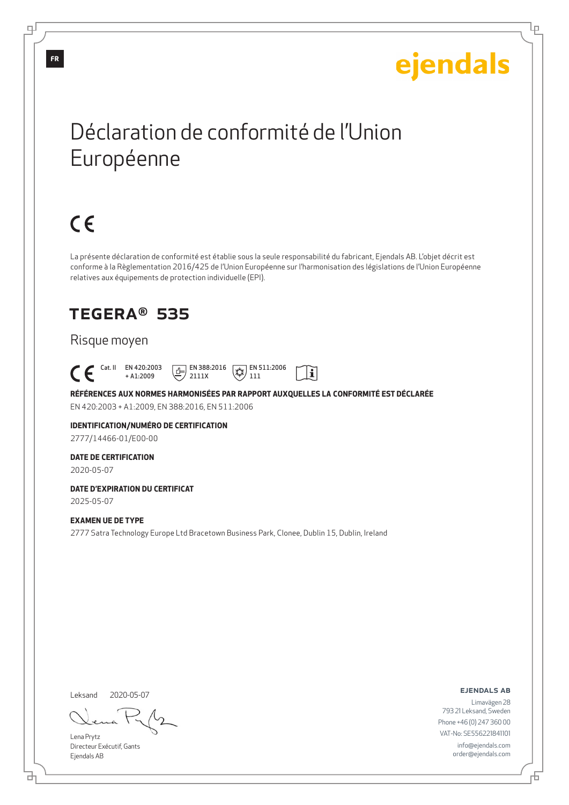Ļμ

## Déclaration de conformité de l'Union Européenne

# $C \in$

La présente déclaration de conformité est établie sous la seule responsabilité du fabricant, Ejendals AB. L'objet décrit est conforme à la Règlementation 2016/425 de l'Union Européenne sur l'harmonisation des législations de l'Union Européenne relatives aux équipements de protection individuelle (EPI).

## TEGERA® 535

### Risque moyen

 Cat. II EN 420:2003  $E$  EN 388:2016  $\mathbb{R}$  EN 511:2006  $|\tilde{\mathbf{i}}|$ + A1:2009 2111X 111

**RÉFÉRENCES AUX NORMES HARMONISÉES PAR RAPPORT AUXQUELLES LA CONFORMITÉ EST DÉCLARÉE** EN 420:2003 + A1:2009, EN 388:2016, EN 511:2006

### **IDENTIFICATION/NUMÉRO DE CERTIFICATION**

2777/14466-01/E00-00

#### **DATE DE CERTIFICATION**

2020-05-07

#### **DATE D'EXPIRATION DU CERTIFICAT** 2025-05-07

**EXAMEN UE DE TYPE**

2777 Satra Technology Europe Ltd Bracetown Business Park, Clonee, Dublin 15, Dublin, Ireland

Leksand 2020-05-07

Lena Prytz Directeur Exécutif, Gants Ejendals AB

ejendals ab

Б

Limavägen 28 793 21 Leksand, Sweden Phone +46 (0) 247 360 00 VAT-No: SE556221841101 info@ejendals.com order@ejendals.com

டி

<u>다</u>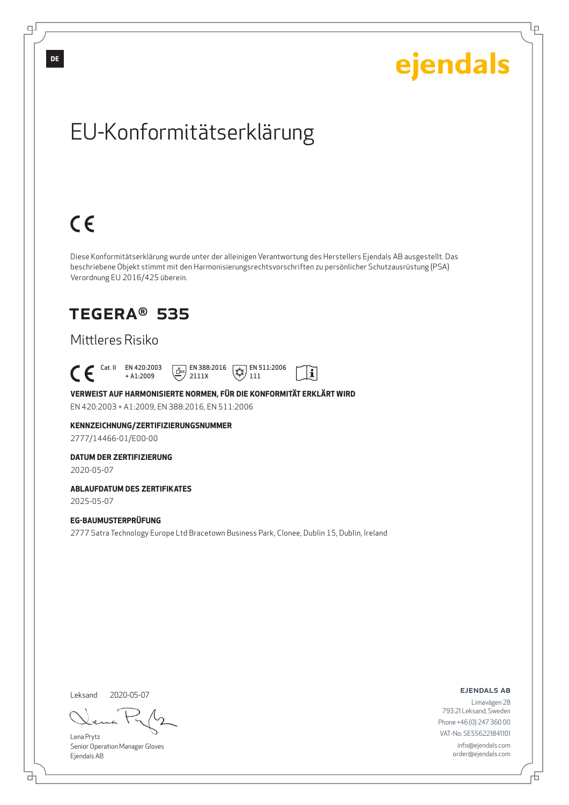Ļμ

# EU-Konformitätserklärung

# $C \in$

Diese Konformitätserklärung wurde unter der alleinigen Verantwortung des Herstellers Ejendals AB ausgestellt. Das beschriebene Objekt stimmt mit den Harmonisierungsrechtsvorschriften zu persönlicher Schutzausrüstung (PSA) Verordnung EU 2016/425 überein.

### TEGERA® 535

### Mittleres Risiko

 Cat. II EN 420:2003  $E$  EN 388:2016  $\mathbb{R}$  EN 511:2006  $|\tilde{\mathbf{i}}|$ + A1:2009 2111X 111

#### **VERWEIST AUF HARMONISIERTE NORMEN, FÜR DIE KONFORMITÄT ERKLÄRT WIRD** EN 420:2003 + A1:2009, EN 388:2016, EN 511:2006

### **KENNZEICHNUNG/ZERTIFIZIERUNGSNUMMER**

2777/14466-01/E00-00

#### **DATUM DER ZERTIFIZIERUNG**

2020-05-07

### **ABLAUFDATUM DES ZERTIFIKATES**

2025-05-07

#### **EG-BAUMUSTERPRÜFUNG**

2777 Satra Technology Europe Ltd Bracetown Business Park, Clonee, Dublin 15, Dublin, Ireland

Leksand

<u>다</u>

2020-05-07

Lena Prytz Senior Operation Manager Gloves Ejendals AB

ejendals ab

Limavägen 28 793 21 Leksand, Sweden Phone +46 (0) 247 360 00 VAT-No: SE556221841101 info@ejendals.com order@ejendals.com

∓

**DE**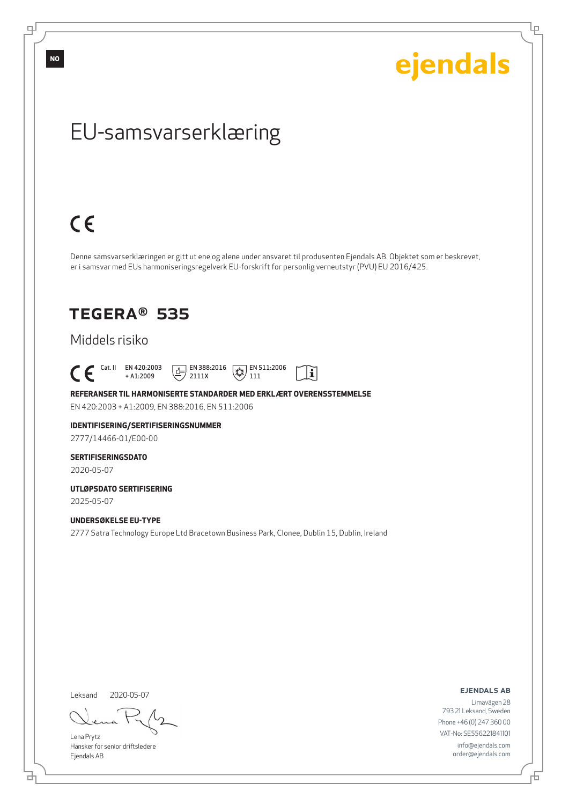டி

ejendals

Ļμ

## EU-samsvarserklæring

# $C \in$

Denne samsvarserklæringen er gitt ut ene og alene under ansvaret til produsenten Ejendals AB. Objektet som er beskrevet, er i samsvar med EUs harmoniseringsregelverk EU-forskrift for personlig verneutstyr (PVU) EU 2016/425.

 $|\tilde{\mathbf{i}}|$ 

## TEGERA® 535

### Middels risiko

 $\begin{bmatrix} \begin{array}{ccc} \text{Cat. II} & \text{EN } 420:2003 \\ + \text{A1:2009} \end{array} \end{bmatrix}$ + A1:2009  $\boxed{1}$  EN 388:2016 2111X  $\mathbb{R}$  EN 511:2006 111

**REFERANSER TIL HARMONISERTE STANDARDER MED ERKLÆRT OVERENSSTEMMELSE** EN 420:2003 + A1:2009, EN 388:2016, EN 511:2006

### **IDENTIFISERING/SERTIFISERINGSNUMMER**

2777/14466-01/E00-00

#### **SERTIFISERINGSDATO**

2020-05-07

#### **UTLØPSDATO SERTIFISERING** 2025-05-07

#### **UNDERSØKELSE EU-TYPE**

2777 Satra Technology Europe Ltd Bracetown Business Park, Clonee, Dublin 15, Dublin, Ireland

Leksand 2020-05-07

<u>다</u>

Lena Prytz Hansker for senior driftsledere Ejendals AB

ejendals ab

Limavägen 28 793 21 Leksand, Sweden Phone +46 (0) 247 360 00 VAT-No: SE556221841101 info@ejendals.com order@ejendals.com

Đ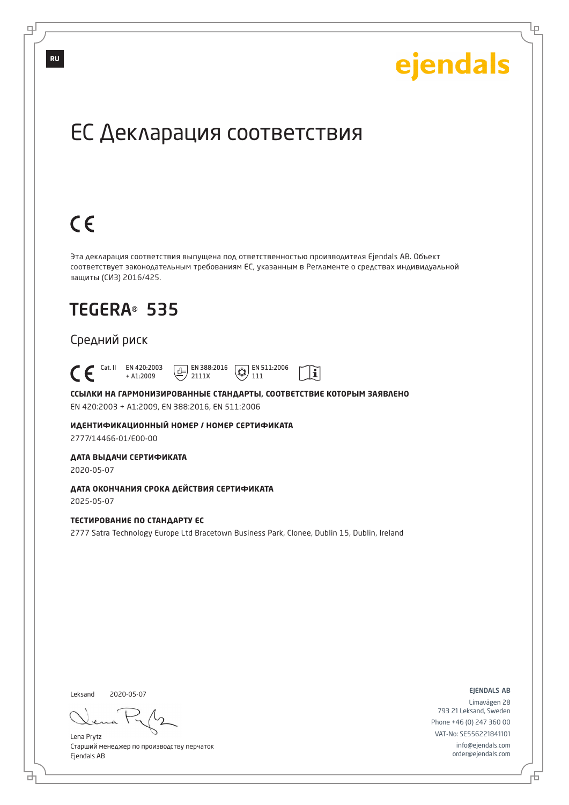Ļμ

## ЕС Декларация соответствия

# $C \in$

Эта декларация соответствия выпущена под ответственностью производителя Ejendals AB. Объект соответствует законодательным требованиям ЕС, указанным в Регламенте о средствах индивидуальной защиты (СИЗ) 2016/425.

 $|\tilde{\mathbf{i}}|$ 

## TEGERA® 535

### Средний риск

 Cat. II EN 420:2003 + A1:2009  $\boxed{E}$  EN 388:2016 2111X  $\overline{**}$  EN 511:2006 111

**ССЫЛКИ НА ГАРМОНИЗИРОВАННЫЕ СТАНДАРТЫ, СООТВЕТСТВИЕ КОТОРЫМ ЗАЯВЛЕНО** EN 420:2003 + A1:2009, EN 388:2016, EN 511:2006

**ИДЕНТИФИКАЦИОННЫЙ НОМЕР / НОМЕР СЕРТИФИКАТА** 2777/14466-01/E00-00

**ДАТА ВЫДАЧИ СЕРТИФИКАТА**

2020-05-07

**ДАТА ОКОНЧАНИЯ СРОКА ДЕЙСТВИЯ СЕРТИФИКАТА** 2025-05-07

#### **ТЕСТИРОВАНИЕ ПО СТАНДАРТУ ЕС**

2777 Satra Technology Europe Ltd Bracetown Business Park, Clonee, Dublin 15, Dublin, Ireland

Leksand 2020-05-07

브

Lena Prytz Старший менеджер по производству перчаток Ejendals AB

ejendals ab

Limavägen 28 793 21 Leksand, Sweden Phone +46 (0) 247 360 00 VAT-No: SE556221841101 info@ejendals.com order@ejendals.com

டி

**RU**

Đ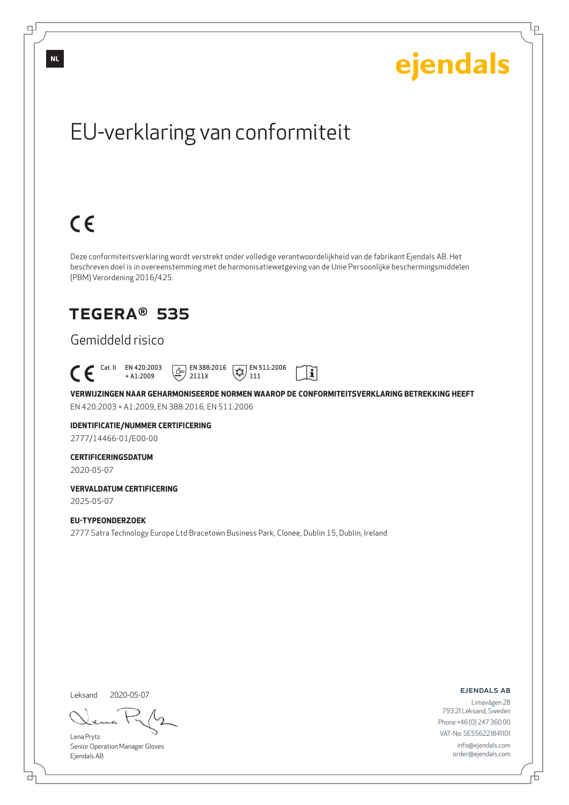Ļμ

# EU-verklaring van conformiteit

# $C \in$

Deze conformiteitsverklaring wordt verstrekt onder volledige verantwoordelijkheid van de fabrikant Ejendals AB. Het beschreven doel is in overeenstemming met de harmonisatiewetgeving van de Unie Persoonlijke beschermingsmiddelen (PBM) Verordening 2016/425.

## TEGERA® 535

### Gemiddeld risico

 Cat. II EN 420:2003  $E$  EN 388:2016  $\mathbb{R}$  EN 511:2006  $\mathbf{i}$ + A1:2009 2111X 111

**VERWIJZINGEN NAAR GEHARMONISEERDE NORMEN WAAROP DE CONFORMITEITSVERKLARING BETREKKING HEEFT** EN 420:2003 + A1:2009, EN 388:2016, EN 511:2006

### **IDENTIFICATIE/NUMMER CERTIFICERING**

2777/14466-01/E00-00

#### **CERTIFICERINGSDATUM**

2020-05-07

#### **VERVALDATUM CERTIFICERING** 2025-05-07

**EU-TYPEONDERZOEK** 2777 Satra Technology Europe Ltd Bracetown Business Park, Clonee, Dublin 15, Dublin, Ireland

Leksand 2020-05-07

<u>다</u>

Lena Prytz Senior Operation Manager Gloves Ejendals AB

ejendals ab

Đ

Limavägen 28 793 21 Leksand, Sweden Phone +46 (0) 247 360 00 VAT-No: SE556221841101 info@ejendals.com order@ejendals.com

**NL**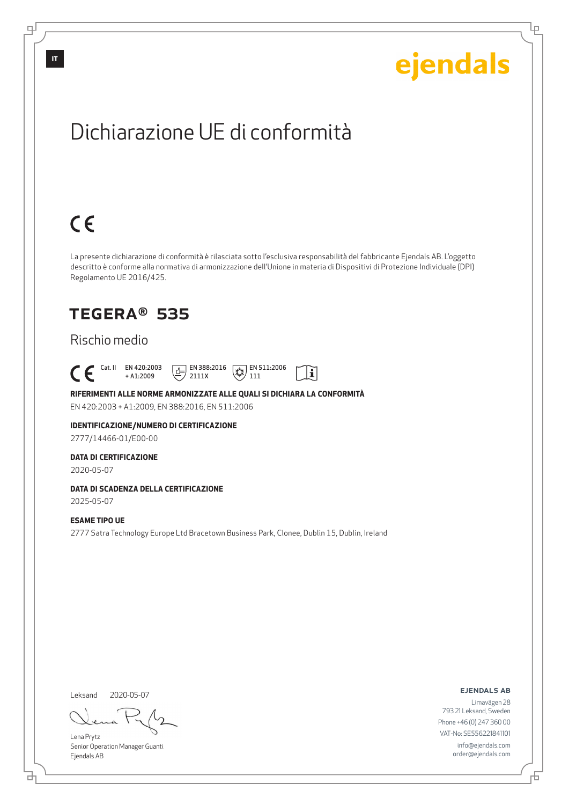Lρ

## Dichiarazione UE di conformità

# $C \in$

La presente dichiarazione di conformità è rilasciata sotto l'esclusiva responsabilità del fabbricante Ejendals AB. L'oggetto descritto è conforme alla normativa di armonizzazione dell'Unione in materia di Dispositivi di Protezione Individuale (DPI) Regolamento UE 2016/425.

 $\mathbf{i}$ 

## TEGERA® 535

### Rischio medio

 Cat. II EN 420:2003 + A1:2009  $\boxed{1}$  EN 388:2016 2111X  $\mathbb{R}$  EN 511:2006 111

#### **RIFERIMENTI ALLE NORME ARMONIZZATE ALLE QUALI SI DICHIARA LA CONFORMITÀ**

EN 420:2003 + A1:2009, EN 388:2016, EN 511:2006

### **IDENTIFICAZIONE/NUMERO DI CERTIFICAZIONE**

2777/14466-01/E00-00

#### **DATA DI CERTIFICAZIONE**

2020-05-07

#### **DATA DI SCADENZA DELLA CERTIFICAZIONE**

2025-05-07

#### **ESAME TIPO UE**

2777 Satra Technology Europe Ltd Bracetown Business Park, Clonee, Dublin 15, Dublin, Ireland

Leksand 2020-05-07

<u>다</u>

Lena Prytz Senior Operation Manager Guanti Ejendals AB

ejendals ab

Đ

Limavägen 28 793 21 Leksand, Sweden Phone +46 (0) 247 360 00 VAT-No: SE556221841101 info@ejendals.com order@ejendals.com

டி

**IT**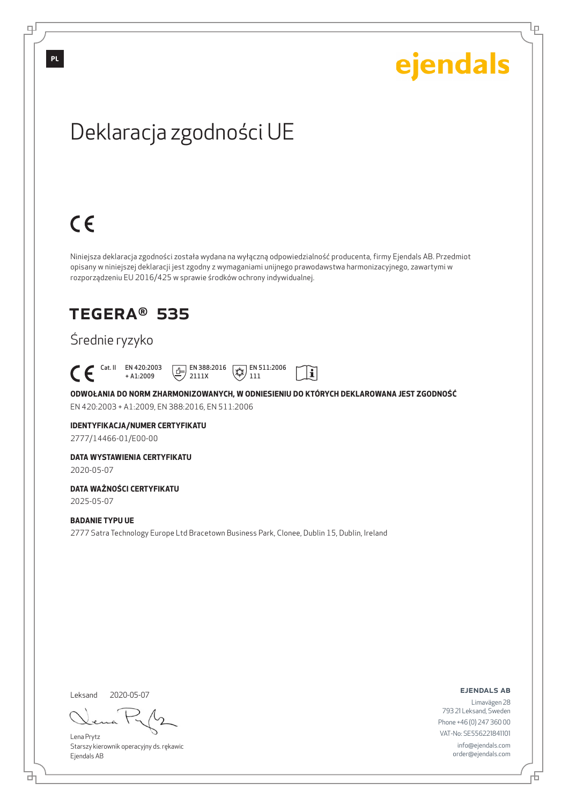Lρ

# Deklaracja zgodności UE

# $C \in$

 $\mathcal C$ 

Niniejsza deklaracja zgodności została wydana na wyłączną odpowiedzialność producenta, firmy Ejendals AB. Przedmiot opisany w niniejszej deklaracji jest zgodny z wymaganiami unijnego prawodawstwa harmonizacyjnego, zawartymi w rozporządzeniu EU 2016/425 w sprawie środków ochrony indywidualnej.

## TEGERA® 535

### Średnie ryzyko

|  | Cat. II EN 420:2003 | <b>FILE EN 388:2016</b> $\sqrt{ }$ <b>EN 511:2006</b> |  |
|--|---------------------|-------------------------------------------------------|--|
|  | $+$ A1 $\cdot$ 2009 | $\equiv$ / 2111X                                      |  |

**ODWOŁANIA DO NORM ZHARMONIZOWANYCH, W ODNIESIENIU DO KTÓRYCH DEKLAROWANA JEST ZGODNOŚĆ** EN 420:2003 + A1:2009, EN 388:2016, EN 511:2006

#### **IDENTYFIKACJA/NUMER CERTYFIKATU**

2777/14466-01/E00-00

#### **DATA WYSTAWIENIA CERTYFIKATU**

2020-05-07

#### **DATA WAŻNOŚCI CERTYFIKATU**

2025-05-07

#### **BADANIE TYPU UE**

2777 Satra Technology Europe Ltd Bracetown Business Park, Clonee, Dublin 15, Dublin, Ireland

Leksand

<u>다</u>

2020-05-07

Lena Prytz Starszy kierownik operacyjny ds. rękawic Ejendals AB

ejendals ab

Limavägen 28 793 21 Leksand, Sweden Phone +46 (0) 247 360 00 VAT-No: SE556221841101 info@ejendals.com order@ejendals.com

டி

Б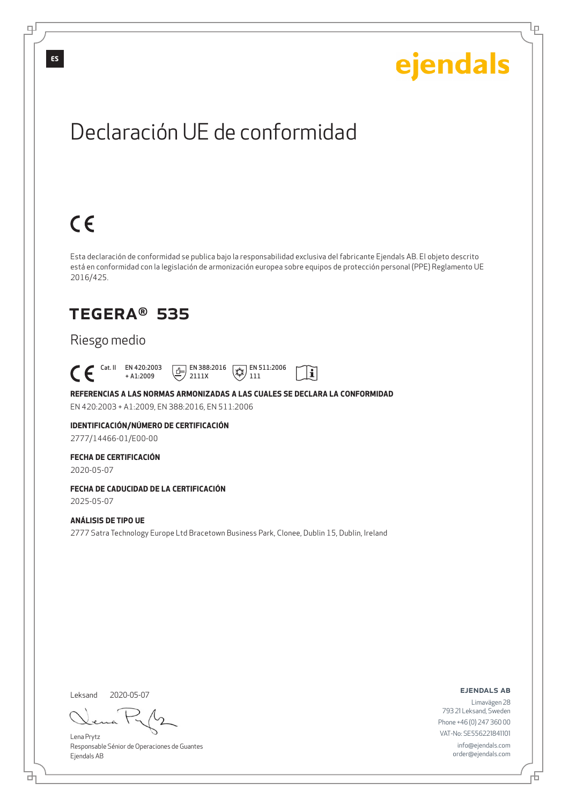Lρ

## Declaración UE de conformidad

# $C \in$

Esta declaración de conformidad se publica bajo la responsabilidad exclusiva del fabricante Ejendals AB. El objeto descrito está en conformidad con la legislación de armonización europea sobre equipos de protección personal (PPE) Reglamento UE 2016/425.

 $|\tilde{\mathbf{i}}|$ 

## TEGERA® 535

### Riesgo medio

 Cat. II EN 420:2003 + A1:2009  $\boxed{1}$  EN 388:2016 2111X  $\mathbb{R}$  EN 511:2006 111

**REFERENCIAS A LAS NORMAS ARMONIZADAS A LAS CUALES SE DECLARA LA CONFORMIDAD** EN 420:2003 + A1:2009, EN 388:2016, EN 511:2006

**IDENTIFICACIÓN/NÚMERO DE CERTIFICACIÓN**

2777/14466-01/E00-00

#### **FECHA DE CERTIFICACIÓN**

2020-05-07

### **FECHA DE CADUCIDAD DE LA CERTIFICACIÓN**

2025-05-07

#### **ANÁLISIS DE TIPO UE**

2777 Satra Technology Europe Ltd Bracetown Business Park, Clonee, Dublin 15, Dublin, Ireland

Leksand 2020-05-07

<u>다</u>

Lena Prytz Responsable Sénior de Operaciones de Guantes Ejendals AB

ejendals ab

Б

Limavägen 28 793 21 Leksand, Sweden Phone +46 (0) 247 360 00 VAT-No: SE556221841101 info@ejendals.com order@ejendals.com

டி

**ES**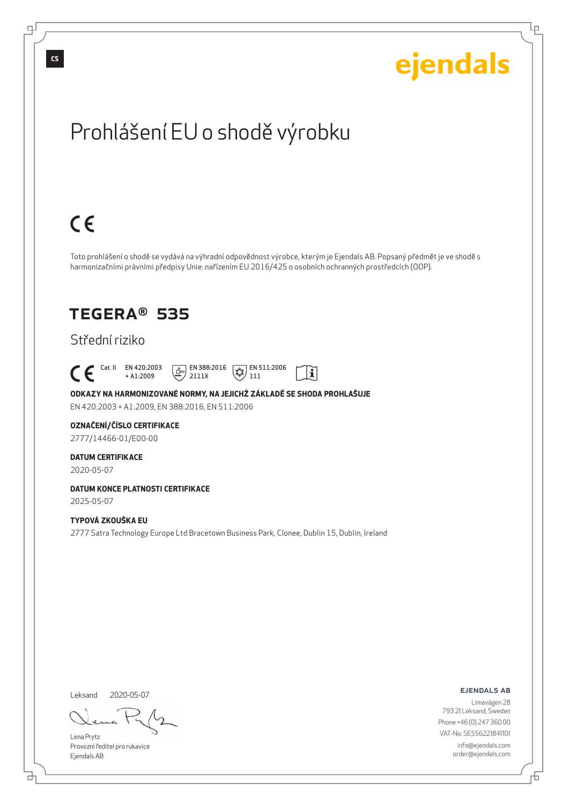டி

Ļμ

# Prohlášení EU o shodě výrobku

# $C \in$

Toto prohlášení o shodě se vydává na výhradní odpovědnost výrobce, kterým je Ejendals AB. Popsaný předmět je ve shodě s harmonizačními právními předpisy Unie: nařízením EU 2016/425 o osobních ochranných prostředcích (OOP).

 $|\tilde{\mathbf{i}}|$ 

## TEGERA® 535

### Střední riziko

 Cat. II EN 420:2003 + A1:2009  $\boxed{1}$  EN 388:2016 2111X  $\mathbb{R}$  EN 511:2006 111

**ODKAZY NA HARMONIZOVANÉ NORMY, NA JEJICHŽ ZÁKLADĚ SE SHODA PROHLAŠUJE** EN 420:2003 + A1:2009, EN 388:2016, EN 511:2006

#### **OZNAČENÍ/ČÍSLO CERTIFIKACE**

2777/14466-01/E00-00

#### **DATUM CERTIFIKACE**

2020-05-07

#### **DATUM KONCE PLATNOSTI CERTIFIKACE** 2025-05-07

#### **TYPOVÁ ZKOUŠKA EU**

2777 Satra Technology Europe Ltd Bracetown Business Park, Clonee, Dublin 15, Dublin, Ireland

Leksand 2020-05-07

đ

Lena Prytz Provozní ředitel pro rukavice Ejendals AB

ejendals ab

Đ

Limavägen 28 793 21 Leksand, Sweden Phone +46 (0) 247 360 00 VAT-No: SE556221841101 info@ejendals.com order@ejendals.com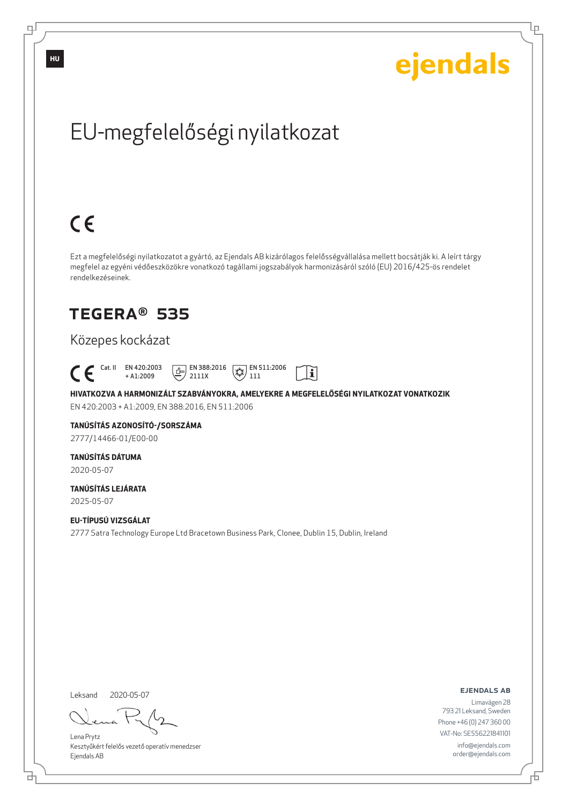Ļμ

# EU-megfelelőségi nyilatkozat

# $C \in$

Ezt a megfelelőségi nyilatkozatot a gyártó, az Ejendals AB kizárólagos felelősségvállalása mellett bocsátják ki. A leírt tárgy megfelel az egyéni védőeszközökre vonatkozó tagállami jogszabályok harmonizásáról szóló (EU) 2016/425-ös rendelet rendelkezéseinek.

## TEGERA® 535

### Közepes kockázat

 Cat. II EN 420:2003  $\boxed{E}$  EN 388:2016  $\mathbb{R}$  EN 511:2006  $\mathbf{i}$ + A1:2009 2111X 111

**HIVATKOZVA A HARMONIZÁLT SZABVÁNYOKRA, AMELYEKRE A MEGFELELŐSÉGI NYILATKOZAT VONATKOZIK** EN 420:2003 + A1:2009, EN 388:2016, EN 511:2006

### **TANÚSÍTÁS AZONOSÍTÓ-/SORSZÁMA**

2777/14466-01/E00-00

### **TANÚSÍTÁS DÁTUMA**

2020-05-07

#### **TANÚSÍTÁS LEJÁRATA** 2025-05-07

**EU-TÍPUSÚ VIZSGÁLAT** 2777 Satra Technology Europe Ltd Bracetown Business Park, Clonee, Dublin 15, Dublin, Ireland

Leksand 2020-05-07

브

Lena Prytz Kesztyűkért felelős vezető operatív menedzser Ejendals AB

ejendals ab

Б

Limavägen 28 793 21 Leksand, Sweden Phone +46 (0) 247 360 00 VAT-No: SE556221841101 info@ejendals.com order@ejendals.com

**HU**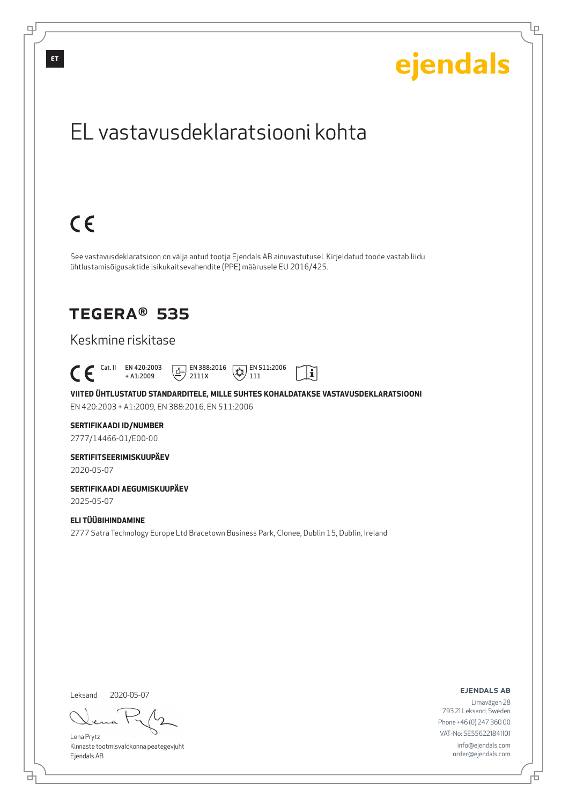

Leksand 2020-05-07

<u>다</u>

டி

Lena Prytz Kinnaste tootmisvaldkonna peategevjuht Ejendals AB

ejendals ab

Limavägen 28 793 21 Leksand, Sweden Phone +46 (0) 247 360 00 VAT-No: SE556221841101 info@ejendals.com order@ejendals.com

Đ

Lρ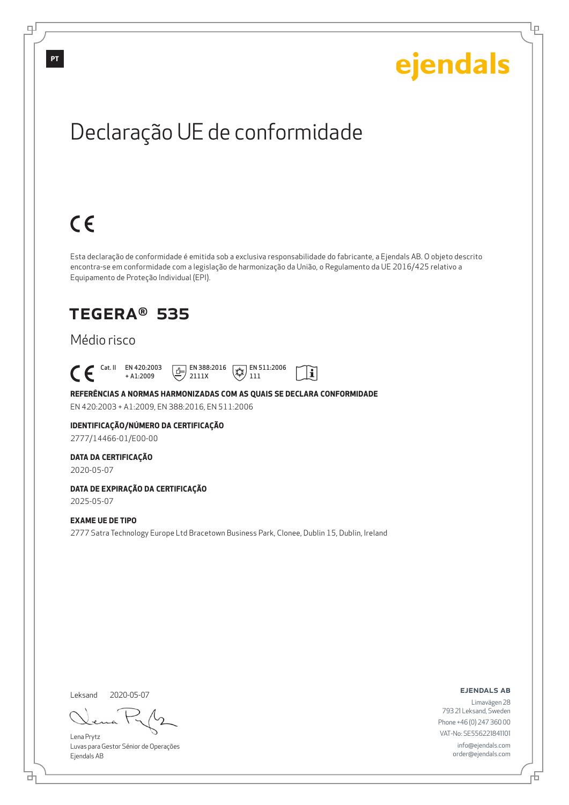Ļμ

# Declaração UE de conformidade

# $C \in$

Esta declaração de conformidade é emitida sob a exclusiva responsabilidade do fabricante, a Ejendals AB. O objeto descrito encontra-se em conformidade com a legislação de harmonização da União, o Regulamento da UE 2016/425 relativo a Equipamento de Proteção Individual (EPI).

 $|\tilde{\mathbf{i}}|$ 

## TEGERA® 535

### Médio risco

 Cat. II EN 420:2003 + A1:2009  $E$  EN 388:2016 2111X  $\mathbb{R}$  EN 511:2006 111

**REFERÊNCIAS A NORMAS HARMONIZADAS COM AS QUAIS SE DECLARA CONFORMIDADE** EN 420:2003 + A1:2009, EN 388:2016, EN 511:2006

### **IDENTIFICAÇÃO/NÚMERO DA CERTIFICAÇÃO**

2777/14466-01/E00-00

#### **DATA DA CERTIFICAÇÃO**

2020-05-07

### **DATA DE EXPIRAÇÃO DA CERTIFICAÇÃO**

2025-05-07

#### **EXAME UE DE TIPO**

2777 Satra Technology Europe Ltd Bracetown Business Park, Clonee, Dublin 15, Dublin, Ireland

Leksand 2020-05-07

<u>다</u>

Lena Prytz Luvas para Gestor Sénior de Operações Ejendals AB

#### ejendals ab

Б

Limavägen 28 793 21 Leksand, Sweden Phone +46 (0) 247 360 00 VAT-No: SE556221841101 info@ejendals.com order@ejendals.com

டி

**PT**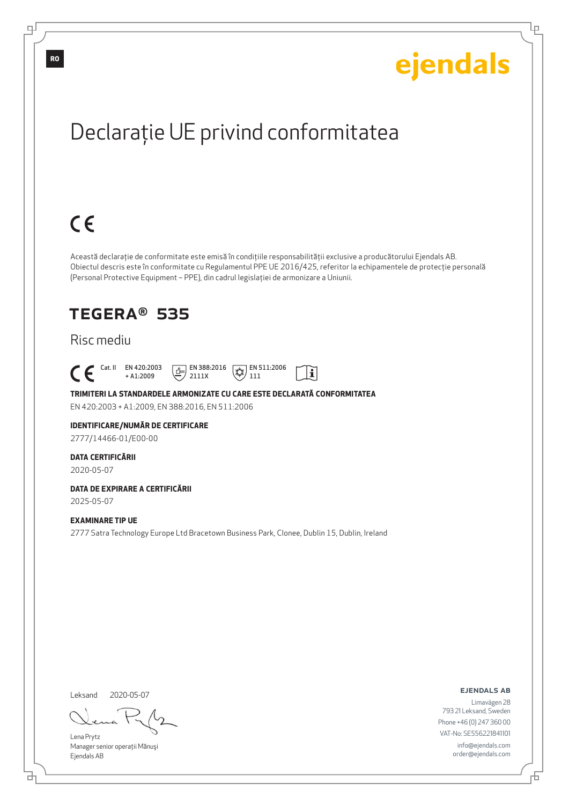Ļμ

# Declaraţie UE privind conformitatea

# $C \in$

Această declaraţie de conformitate este emisă în condiţiile responsabilităţii exclusive a producătorului Ejendals AB. Obiectul descris este în conformitate cu Regulamentul PPE UE 2016/425, referitor la echipamentele de protecţie personală (Personal Protective Equipment – PPE), din cadrul legislaţiei de armonizare a Uniunii.

 $|\tilde{\mathbf{i}}|$ 

### TEGERA® 535

### Risc mediu

 Cat. II EN 420:2003 + A1:2009  $E$  EN 388:2016 2111X  $\mathbb{R}$  EN 511:2006 111

**TRIMITERI LA STANDARDELE ARMONIZATE CU CARE ESTE DECLARATĂ CONFORMITATEA** EN 420:2003 + A1:2009, EN 388:2016, EN 511:2006

#### **IDENTIFICARE/NUMĂR DE CERTIFICARE**

2777/14466-01/E00-00

#### **DATA CERTIFICĂRII**

2020-05-07

### **DATA DE EXPIRARE A CERTIFICĂRII**

2025-05-07

#### **EXAMINARE TIP UE**

2777 Satra Technology Europe Ltd Bracetown Business Park, Clonee, Dublin 15, Dublin, Ireland

Leksand 2020-05-07

브

Lena Prytz Manager senior operaţii Mănuşi Ejendals AB

ejendals ab

Б

Limavägen 28 793 21 Leksand, Sweden Phone +46 (0) 247 360 00 VAT-No: SE556221841101 info@ejendals.com order@ejendals.com

**RO**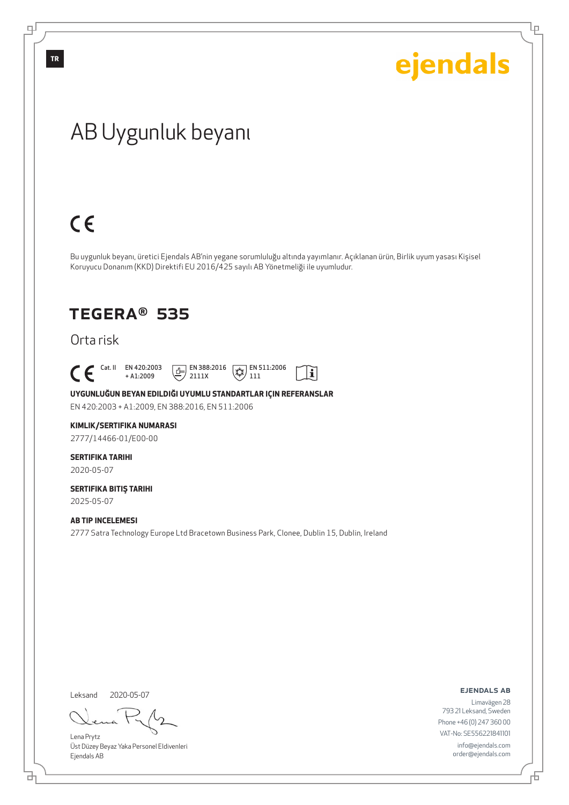Ļμ

## AB Uygunluk beyanı

# $C \in$

Bu uygunluk beyanı, üretici Ejendals AB'nin yegane sorumluluğu altında yayımlanır. Açıklanan ürün, Birlik uyum yasası Kişisel Koruyucu Donanım (KKD) Direktifi EU 2016/425 sayılı AB Yönetmeliği ile uyumludur.

### TEGERA® 535

Orta risk

 $\begin{bmatrix} \text{Cat. II} & \text{EN } 420:2003 \\ + A1:2009 \end{bmatrix}$ 

+ A1:2009  $\boxed{E}$  EN 388:2016 2111X



**UYGUNLUĞUN BEYAN EDILDIĞI UYUMLU STANDARTLAR IÇIN REFERANSLAR**

EN 420:2003 + A1:2009, EN 388:2016, EN 511:2006

#### **KIMLIK/SERTIFIKA NUMARASI**

2777/14466-01/E00-00

### **SERTIFIKA TARIHI**

2020-05-07

#### **SERTIFIKA BITIŞ TARIHI** 2025-05-07

#### **AB TIP INCELEMESI**

2777 Satra Technology Europe Ltd Bracetown Business Park, Clonee, Dublin 15, Dublin, Ireland

Leksand 2020-05-07

đ

Lena Prytz Üst Düzey Beyaz Yaka Personel Eldivenleri Ejendals AB

ejendals ab

舌

Limavägen 28 793 21 Leksand, Sweden Phone +46 (0) 247 360 00 VAT-No: SE556221841101 info@ejendals.com order@ejendals.com

டி

**TR**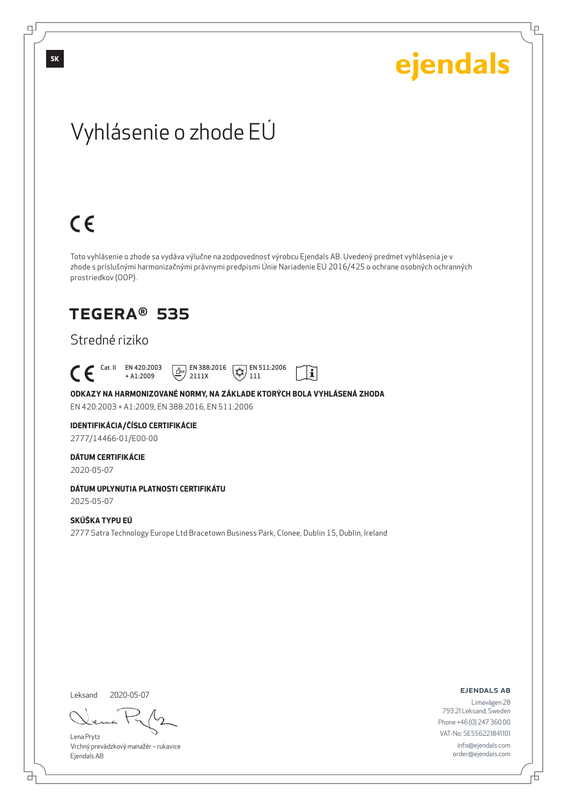Lρ

## Vyhlásenie o zhode EÚ

# $C \in$

Toto vyhlásenie o zhode sa vydáva výlučne na zodpovednosť výrobcu Ejendals AB. Uvedený predmet vyhlásenia je v zhode s príslušnými harmonizačnými právnymi predpismi Únie Nariadenie EÚ 2016/425 o ochrane osobných ochranných prostriedkov (OOP).

 $|\tilde{\mathbf{i}}|$ 

### TEGERA® 535

### Stredné riziko

 Cat. II EN 420:2003 + A1:2009  $\boxed{1}$  EN 388:2016 2111X  $\mathbb{R}$  EN 511:2006 111

**ODKAZY NA HARMONIZOVANÉ NORMY, NA ZÁKLADE KTORÝCH BOLA VYHLÁSENÁ ZHODA** EN 420:2003 + A1:2009, EN 388:2016, EN 511:2006

**IDENTIFIKÁCIA/ČÍSLO CERTIFIKÁCIE**

2777/14466-01/E00-00

#### **DÁTUM CERTIFIKÁCIE**

2020-05-07

### **DÁTUM UPLYNUTIA PLATNOSTI CERTIFIKÁTU**

2025-05-07

#### **SKÚŠKA TYPU EÚ**

2777 Satra Technology Europe Ltd Bracetown Business Park, Clonee, Dublin 15, Dublin, Ireland

Leksand 2020-05-07

<u>다</u>

Lena Prytz Vrchný prevádzkový manažér – rukavice Ejendals AB

ejendals ab

Limavägen 28 793 21 Leksand, Sweden Phone +46 (0) 247 360 00 VAT-No: SE556221841101 info@ejendals.com order@ejendals.com

டி

**SK**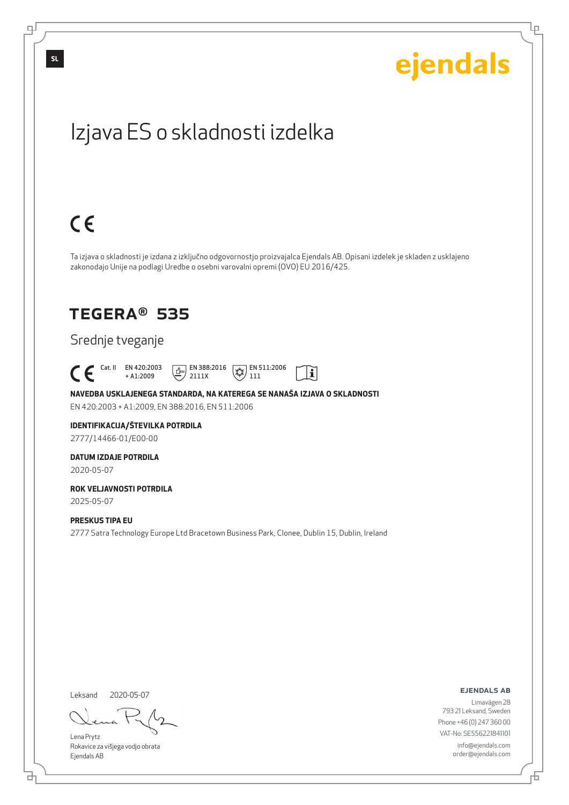Lρ

## Izjava ES o skladnosti izdelka

# $C \in$

Ta izjava o skladnosti je izdana z izključno odgovornostjo proizvajalca Ejendals AB. Opisani izdelek je skladen z usklajeno zakonodajo Unije na podlagi Uredbe o osebni varovalni opremi (OVO) EU 2016/425.

li

### TEGERA® 535

### Srednje tveganje

 Cat. II EN 420:2003 + A1:2009  $\boxed{E}$  EN 388:2016 2111X  $\mathbb{R}$  EN 511:2006 111

**NAVEDBA USKLAJENEGA STANDARDA, NA KATEREGA SE NANAŠA IZJAVA O SKLADNOSTI** EN 420:2003 + A1:2009, EN 388:2016, EN 511:2006

#### **IDENTIFIKACIJA/ŠTEVILKA POTRDILA** 2777/14466-01/E00-00

### **DATUM IZDAJE POTRDILA**

2020-05-07

#### **ROK VELJAVNOSTI POTRDILA** 2025-05-07

**PRESKUS TIPA EU**

2777 Satra Technology Europe Ltd Bracetown Business Park, Clonee, Dublin 15, Dublin, Ireland

Leksand 2020-05-07

<u>다</u>

Lena Prytz Rokavice za višjega vodjo obrata Ejendals AB

ejendals ab

Limavägen 28 793 21 Leksand, Sweden Phone +46 (0) 247 360 00 VAT-No: SE556221841101 info@ejendals.com order@ejendals.com

டி

**SL**

Đ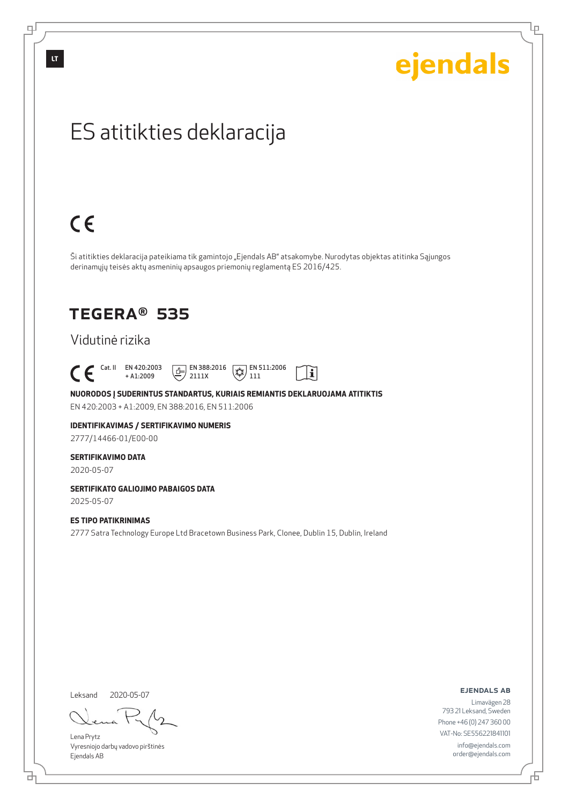டி

# ejendals

Lρ

## ES atitikties deklaracija

# $C \in$

Ši atitikties deklaracija pateikiama tik gamintojo "Ejendals AB" atsakomybe. Nurodytas objektas atitinka Sąjungos derinamųjų teisės aktų asmeninių apsaugos priemonių reglamentą ES 2016/425.

 $|\tilde{\mathbf{i}}|$ 

### TEGERA® 535

### Vidutinė rizika

 $\begin{bmatrix} \mathsf{Cat} & \mathsf{II} & \mathsf{EN} & 420:2003 \\ + & \mathsf{A} & 1:2009 \end{bmatrix}$ + A1:2009  $\boxed{1}$  EN 388:2016 2111X  $\mathbb{R}$  EN 511:2006 111

**NUORODOS Į SUDERINTUS STANDARTUS, KURIAIS REMIANTIS DEKLARUOJAMA ATITIKTIS** EN 420:2003 + A1:2009, EN 388:2016, EN 511:2006

### **IDENTIFIKAVIMAS / SERTIFIKAVIMO NUMERIS**

2777/14466-01/E00-00

#### **SERTIFIKAVIMO DATA**

2020-05-07

#### **SERTIFIKATO GALIOJIMO PABAIGOS DATA**

2025-05-07

#### **ES TIPO PATIKRINIMAS**

2777 Satra Technology Europe Ltd Bracetown Business Park, Clonee, Dublin 15, Dublin, Ireland

Leksand 2020-05-07

<u>다</u>

Lena Prytz Vyresniojo darbų vadovo pirštinės Ejendals AB

ejendals ab

Б

Limavägen 28 793 21 Leksand, Sweden Phone +46 (0) 247 360 00 VAT-No: SE556221841101 info@ejendals.com order@ejendals.com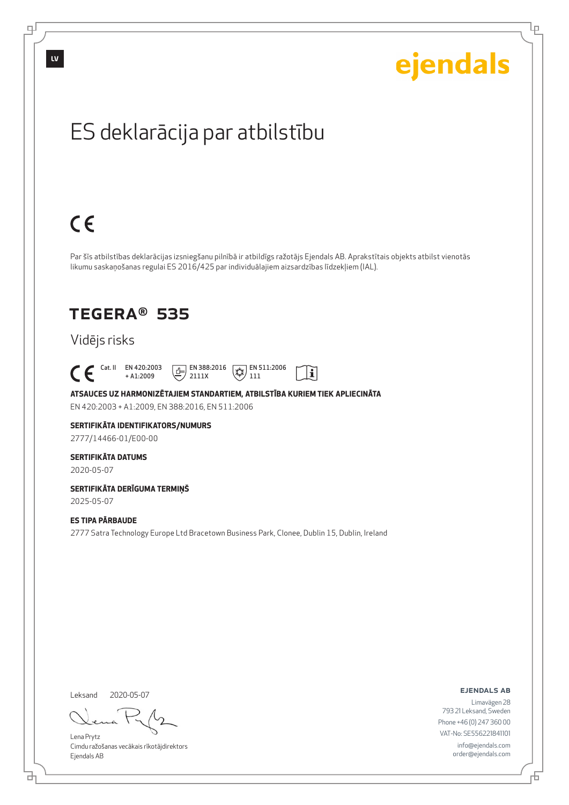

Lρ

## ES deklarācija par atbilstību

# $C \in$

Par šīs atbilstības deklarācijas izsniegšanu pilnībā ir atbildīgs ražotājs Ejendals AB. Aprakstītais objekts atbilst vienotās likumu saskaņošanas regulai ES 2016/425 par individuālajiem aizsardzības līdzekļiem (IAL).

> $\mathbb{R}$  EN 511:2006 111

 $\mathbf{i}$ 

## TEGERA® 535

### Vidējs risks

 Cat. II EN 420:2003 + A1:2009  $E$  EN 388:2016

**ATSAUCES UZ HARMONIZĒTAJIEM STANDARTIEM, ATBILSTĪBA KURIEM TIEK APLIECINĀTA** EN 420:2003 + A1:2009, EN 388:2016, EN 511:2006

2111X

### **SERTIFIKĀTA IDENTIFIKATORS/NUMURS**

2777/14466-01/E00-00

#### **SERTIFIKĀTA DATUMS**

2020-05-07

#### **SERTIFIKĀTA DERĪGUMA TERMIŅŠ** 2025-05-07

**ES TIPA PĀRBAUDE**

2777 Satra Technology Europe Ltd Bracetown Business Park, Clonee, Dublin 15, Dublin, Ireland

Leksand 2020-05-07

Lena Prytz Cimdu ražošanas vecākais rīkotājdirektors Ejendals AB

ejendals ab

Б

Limavägen 28 793 21 Leksand, Sweden Phone +46 (0) 247 360 00 VAT-No: SE556221841101 info@ejendals.com order@ejendals.com

டி

**LV**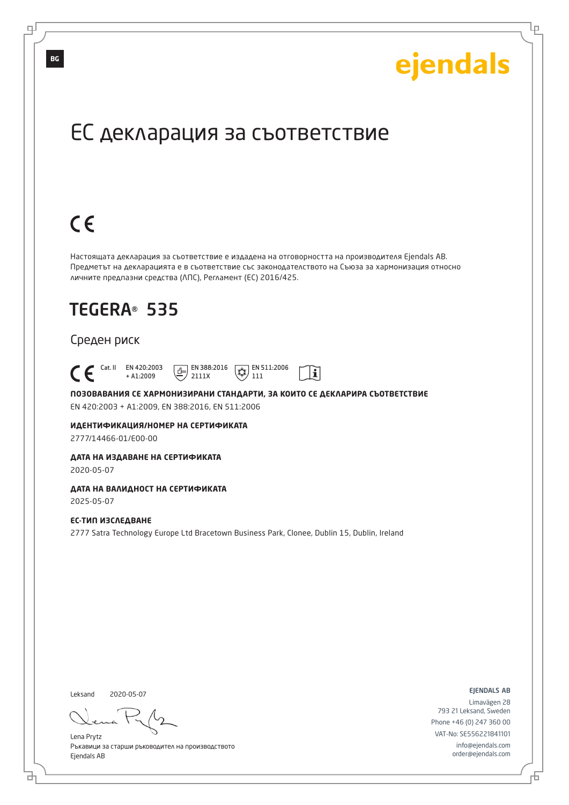Lр

## ЕС декларация за съответствие

# $C \in$

Настоящата декларация за съответствие е издадена на отговорността на производителя Ejendals AB. Предметът на декларацията е в съответствие със законодателството на Съюза за хармонизация относно личните предпазни средства (ЛПС), Регламент (ЕС) 2016/425.

## TEGERA® 535

#### Среден риск

 Cat. II EN 420:2003  $\boxed{E}$  EN 388:2016  $\mathbb{R}$  EN 511:2006  $\mathbf{i}$ + A1:2009 2111X 111

**ПОЗОВАВАНИЯ СЕ ХАРМОНИЗИРАНИ СТАНДАРТИ, ЗА КОИТО СЕ ДЕКЛАРИРА СЪОТВЕТСТВИЕ** EN 420:2003 + A1:2009, EN 388:2016, EN 511:2006

**ИДЕНТИФИКАЦИЯ/НОМЕР НА СЕРТИФИКАТА**

2777/14466-01/E00-00

#### **ДАТА НА ИЗДАВАНЕ НА СЕРТИФИКАТА**

2020-05-07

### **ДАТА НА ВАЛИДНОСТ НА СЕРТИФИКАТА**

2025-05-07

#### **ЕС-ТИП ИЗСЛЕДВАНЕ**

2777 Satra Technology Europe Ltd Bracetown Business Park, Clonee, Dublin 15, Dublin, Ireland

Leksand 2020-05-07

브

Lena Prytz Ръкавици за старши ръководител на производството Ejendals AB

ejendals ab

Đ

Limavägen 28 793 21 Leksand, Sweden Phone +46 (0) 247 360 00 VAT-No: SE556221841101 info@ejendals.com order@ejendals.com

**BG**